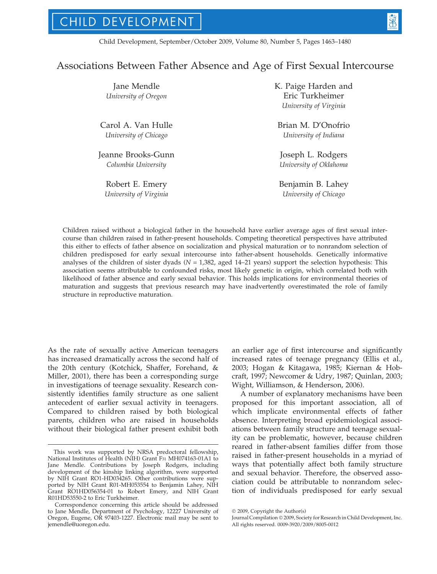# Associations Between Father Absence and Age of First Sexual Intercourse

| Jane Mendle<br>University of Oregon | K. Paige Harden and<br>Eric Turkheimer<br>University of Virginia |
|-------------------------------------|------------------------------------------------------------------|
| Carol A. Van Hulle                  | Brian M. D'Onofrio                                               |
| University of Chicago               | University of Indiana                                            |
| Jeanne Brooks-Gunn                  | Joseph L. Rodgers                                                |
| Columbia University                 | University of Oklahoma                                           |
| Robert E. Emery                     | Benjamin B. Lahey                                                |

University of Virginia

University of Chicago

Children raised without a biological father in the household have earlier average ages of first sexual intercourse than children raised in father-present households. Competing theoretical perspectives have attributed this either to effects of father absence on socialization and physical maturation or to nonrandom selection of children predisposed for early sexual intercourse into father-absent households. Genetically informative analyses of the children of sister dyads  $(N = 1,382,$  aged 14–21 years) support the selection hypothesis: This association seems attributable to confounded risks, most likely genetic in origin, which correlated both with likelihood of father absence and early sexual behavior. This holds implications for environmental theories of maturation and suggests that previous research may have inadvertently overestimated the role of family structure in reproductive maturation.

As the rate of sexually active American teenagers has increased dramatically across the second half of the 20th century (Kotchick, Shaffer, Forehand, & Miller, 2001), there has been a corresponding surge in investigations of teenage sexuality. Research consistently identifies family structure as one salient antecedent of earlier sexual activity in teenagers. Compared to children raised by both biological parents, children who are raised in households without their biological father present exhibit both

an earlier age of first intercourse and significantly increased rates of teenage pregnancy (Ellis et al., 2003; Hogan & Kitagawa, 1985; Kiernan & Hobcraft, 1997; Newcomer & Udry, 1987; Quinlan, 2003; Wight, Williamson, & Henderson, 2006).

A number of explanatory mechanisms have been proposed for this important association, all of which implicate environmental effects of father absence. Interpreting broad epidemiological associations between family structure and teenage sexuality can be problematic, however, because children reared in father-absent families differ from those raised in father-present households in a myriad of ways that potentially affect both family structure and sexual behavior. Therefore, the observed association could be attributable to nonrandom selection of individuals predisposed for early sexual

This work was supported by NRSA predoctoral fellowship, National Institutes of Health (NIH) Grant F31 MH074163-01A1 to Jane Mendle. Contributions by Joseph Rodgers, including development of the kinship linking algorithm, were supported by NIH Grant RO1-HD034265. Other contributions were supported by NIH Grant R01-MH053554 to Benjamin Lahey, NIH Grant RO1HD056354-01 to Robert Emery, and NIH Grant R01HD53550-2 to Eric Turkheimer.

Correspondence concerning this article should be addressed to Jane Mendle, Department of Psychology, 12227 University of Oregon, Eugene, OR 97403-1227. Electronic mail may be sent to jemendle@uoregon.edu.

 $©$  2009, Copyright the Author(s)

Journal Compilation @2009, Society for Research in Child Development, Inc. All rights reserved. 0009-3920/2009/8005-0012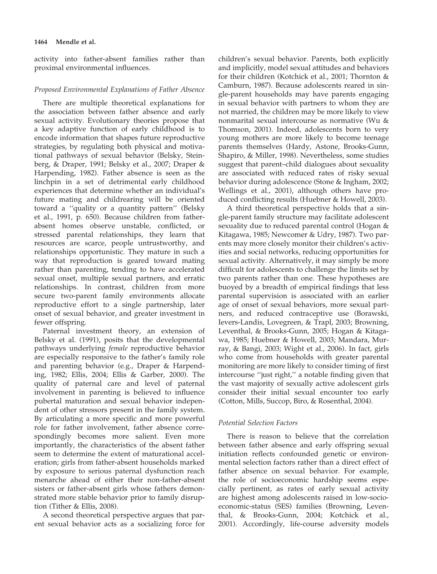activity into father-absent families rather than proximal environmental influences.

### Proposed Environmental Explanations of Father Absence

There are multiple theoretical explanations for the association between father absence and early sexual activity. Evolutionary theories propose that a key adaptive function of early childhood is to encode information that shapes future reproductive strategies, by regulating both physical and motivational pathways of sexual behavior (Belsky, Steinberg, & Draper, 1991; Belsky et al., 2007; Draper & Harpending, 1982). Father absence is seen as the linchpin in a set of detrimental early childhood experiences that determine whether an individual's future mating and childrearing will be oriented toward a ''quality or a quantity pattern'' (Belsky et al., 1991, p. 650). Because children from fatherabsent homes observe unstable, conflicted, or stressed parental relationships, they learn that resources are scarce, people untrustworthy, and relationships opportunistic. They mature in such a way that reproduction is geared toward mating rather than parenting, tending to have accelerated sexual onset, multiple sexual partners, and erratic relationships. In contrast, children from more secure two-parent family environments allocate reproductive effort to a single partnership, later onset of sexual behavior, and greater investment in fewer offspring.

Paternal investment theory, an extension of Belsky et al. (1991), posits that the developmental pathways underlying female reproductive behavior are especially responsive to the father's family role and parenting behavior (e.g., Draper & Harpending, 1982; Ellis, 2004; Ellis & Garber, 2000). The quality of paternal care and level of paternal involvement in parenting is believed to influence pubertal maturation and sexual behavior independent of other stressors present in the family system. By articulating a more specific and more powerful role for father involvement, father absence correspondingly becomes more salient. Even more importantly, the characteristics of the absent father seem to determine the extent of maturational acceleration; girls from father-absent households marked by exposure to serious paternal dysfunction reach menarche ahead of either their non-father-absent sisters or father-absent girls whose fathers demonstrated more stable behavior prior to family disruption (Tither & Ellis, 2008).

A second theoretical perspective argues that parent sexual behavior acts as a socializing force for

children's sexual behavior. Parents, both explicitly and implicitly, model sexual attitudes and behaviors for their children (Kotchick et al., 2001; Thornton & Camburn, 1987). Because adolescents reared in single-parent households may have parents engaging in sexual behavior with partners to whom they are not married, the children may be more likely to view nonmarital sexual intercourse as normative (Wu & Thomson, 2001). Indeed, adolescents born to very young mothers are more likely to become teenage parents themselves (Hardy, Astone, Brooks-Gunn, Shapiro, & Miller, 1998). Nevertheless, some studies suggest that parent–child dialogues about sexuality are associated with reduced rates of risky sexual behavior during adolescence (Stone & Ingham, 2002; Wellings et al., 2001), although others have produced conflicting results (Huebner & Howell, 2003).

A third theoretical perspective holds that a single-parent family structure may facilitate adolescent sexuality due to reduced parental control (Hogan & Kitagawa, 1985; Newcomer & Udry, 1987). Two parents may more closely monitor their children's activities and social networks, reducing opportunities for sexual activity. Alternatively, it may simply be more difficult for adolescents to challenge the limits set by two parents rather than one. These hypotheses are buoyed by a breadth of empirical findings that less parental supervision is associated with an earlier age of onset of sexual behaviors, more sexual partners, and reduced contraceptive use (Borawski, Ievers-Landis, Lovegreen, & Trapl, 2003; Browning, Leventhal, & Brooks-Gunn, 2005; Hogan & Kitagawa, 1985; Huebner & Howell, 2003; Mandara, Murray, & Bangi, 2003; Wight et al., 2006). In fact, girls who come from households with greater parental monitoring are more likely to consider timing of first intercourse ''just right,'' a notable finding given that the vast majority of sexually active adolescent girls consider their initial sexual encounter too early (Cotton, Mills, Succop, Biro, & Rosenthal, 2004).

### Potential Selection Factors

There is reason to believe that the correlation between father absence and early offspring sexual initiation reflects confounded genetic or environmental selection factors rather than a direct effect of father absence on sexual behavior. For example, the role of socioeconomic hardship seems especially pertinent, as rates of early sexual activity are highest among adolescents raised in low-socioeconomic-status (SES) families (Browning, Leventhal, & Brooks-Gunn, 2004; Kotchick et al., 2001). Accordingly, life-course adversity models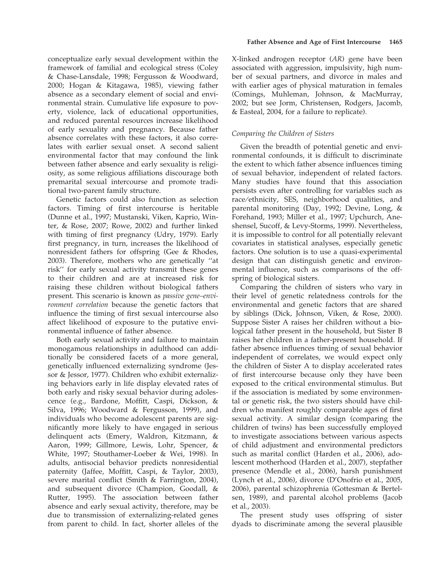conceptualize early sexual development within the framework of familial and ecological stress (Coley & Chase-Lansdale, 1998; Fergusson & Woodward, 2000; Hogan & Kitagawa, 1985), viewing father absence as a secondary element of social and environmental strain. Cumulative life exposure to poverty, violence, lack of educational opportunities, and reduced parental resources increase likelihood of early sexuality and pregnancy. Because father absence correlates with these factors, it also correlates with earlier sexual onset. A second salient environmental factor that may confound the link between father absence and early sexuality is religiosity, as some religious affiliations discourage both premarital sexual intercourse and promote traditional two-parent family structure.

Genetic factors could also function as selection factors. Timing of first intercourse is heritable (Dunne et al., 1997; Mustanski, Viken, Kaprio, Winter, & Rose, 2007; Rowe, 2002) and further linked with timing of first pregnancy (Udry, 1979). Early first pregnancy, in turn, increases the likelihood of nonresident fathers for offspring (Gee & Rhodes, 2003). Therefore, mothers who are genetically ''at risk'' for early sexual activity transmit these genes to their children and are at increased risk for raising these children without biological fathers present. This scenario is known as passive gene–environment correlation because the genetic factors that influence the timing of first sexual intercourse also affect likelihood of exposure to the putative environmental influence of father absence.

Both early sexual activity and failure to maintain monogamous relationships in adulthood can additionally be considered facets of a more general, genetically influenced externalizing syndrome (Jessor & Jessor, 1977). Children who exhibit externalizing behaviors early in life display elevated rates of both early and risky sexual behavior during adolescence (e.g., Bardone, Moffitt, Caspi, Dickson, & Silva, 1996; Woodward & Fergusson, 1999), and individuals who become adolescent parents are significantly more likely to have engaged in serious delinquent acts (Emery, Waldron, Kitzmann, & Aaron, 1999; Gillmore, Lewis, Lohr, Spencer, & White, 1997; Stouthamer-Loeber & Wei, 1998). In adults, antisocial behavior predicts nonresidential paternity (Jaffee, Moffitt, Caspi, & Taylor, 2003), severe marital conflict (Smith & Farrington, 2004), and subsequent divorce (Champion, Goodall, & Rutter, 1995). The association between father absence and early sexual activity, therefore, may be due to transmission of externalizing-related genes from parent to child. In fact, shorter alleles of the

X-linked androgen receptor (AR) gene have been associated with aggression, impulsivity, high number of sexual partners, and divorce in males and with earlier ages of physical maturation in females (Comings, Muhleman, Johnson, & MacMurray, 2002; but see Jorm, Christensen, Rodgers, Jacomb, & Easteal, 2004, for a failure to replicate).

### Comparing the Children of Sisters

Given the breadth of potential genetic and environmental confounds, it is difficult to discriminate the extent to which father absence influences timing of sexual behavior, independent of related factors. Many studies have found that this association persists even after controlling for variables such as race ⁄ ethnicity, SES, neighborhood qualities, and parental monitoring (Day, 1992; Devine, Long, & Forehand, 1993; Miller et al., 1997; Upchurch, Aneshensel, Sucoff, & Levy-Storms, 1999). Nevertheless, it is impossible to control for all potentially relevant covariates in statistical analyses, especially genetic factors. One solution is to use a quasi-experimental design that can distinguish genetic and environmental influence, such as comparisons of the offspring of biological sisters.

Comparing the children of sisters who vary in their level of genetic relatedness controls for the environmental and genetic factors that are shared by siblings (Dick, Johnson, Viken, & Rose, 2000). Suppose Sister A raises her children without a biological father present in the household, but Sister B raises her children in a father-present household. If father absence influences timing of sexual behavior independent of correlates, we would expect only the children of Sister A to display accelerated rates of first intercourse because only they have been exposed to the critical environmental stimulus. But if the association is mediated by some environmental or genetic risk, the two sisters should have children who manifest roughly comparable ages of first sexual activity. A similar design (comparing the children of twins) has been successfully employed to investigate associations between various aspects of child adjustment and environmental predictors such as marital conflict (Harden et al., 2006), adolescent motherhood (Harden et al., 2007), stepfather presence (Mendle et al., 2006), harsh punishment (Lynch et al., 2006), divorce (D'Onofrio et al., 2005, 2006), parental schizophrenia (Gottesman & Bertelsen, 1989), and parental alcohol problems (Jacob et al., 2003).

The present study uses offspring of sister dyads to discriminate among the several plausible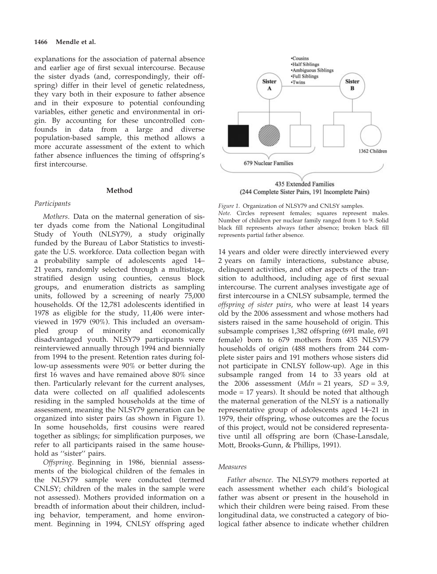explanations for the association of paternal absence and earlier age of first sexual intercourse. Because the sister dyads (and, correspondingly, their offspring) differ in their level of genetic relatedness, they vary both in their exposure to father absence and in their exposure to potential confounding variables, either genetic and environmental in origin. By accounting for these uncontrolled confounds in data from a large and diverse population-based sample, this method allows a more accurate assessment of the extent to which father absence influences the timing of offspring's first intercourse.

#### Method

#### Participants

Mothers. Data on the maternal generation of sister dyads come from the National Longitudinal Study of Youth (NLSY79), a study originally funded by the Bureau of Labor Statistics to investigate the U.S. workforce. Data collection began with a probability sample of adolescents aged 14– 21 years, randomly selected through a multistage, stratified design using counties, census block groups, and enumeration districts as sampling units, followed by a screening of nearly 75,000 households. Of the 12,781 adolescents identified in 1978 as eligible for the study, 11,406 were interviewed in 1979 (90%). This included an oversampled group of minority and economically disadvantaged youth. NLSY79 participants were reinterviewed annually through 1994 and biennially from 1994 to the present. Retention rates during follow-up assessments were 90% or better during the first 16 waves and have remained above 80% since then. Particularly relevant for the current analyses, data were collected on all qualified adolescents residing in the sampled households at the time of assessment, meaning the NLSY79 generation can be organized into sister pairs (as shown in Figure 1). In some households, first cousins were reared together as siblings; for simplification purposes, we refer to all participants raised in the same household as "sister" pairs.

Offspring. Beginning in 1986, biennial assessments of the biological children of the females in the NLSY79 sample were conducted (termed CNLSY; children of the males in the sample were not assessed). Mothers provided information on a breadth of information about their children, including behavior, temperament, and home environment. Beginning in 1994, CNLSY offspring aged



(244 Complete Sister Pairs, 191 Incomplete Pairs)

Figure 1. Organization of NLSY79 and CNLSY samples. Note. Circles represent females; squares represent males. Number of children per nuclear family ranged from 1 to 9. Solid black fill represents always father absence; broken black fill represents partial father absence.

14 years and older were directly interviewed every 2 years on family interactions, substance abuse, delinquent activities, and other aspects of the transition to adulthood, including age of first sexual intercourse. The current analyses investigate age of first intercourse in a CNLSY subsample, termed the offspring of sister pairs, who were at least 14 years old by the 2006 assessment and whose mothers had sisters raised in the same household of origin. This subsample comprises 1,382 offspring (691 male, 691 female) born to 679 mothers from 435 NLSY79 households of origin (488 mothers from 244 complete sister pairs and 191 mothers whose sisters did not participate in CNLSY follow-up). Age in this subsample ranged from 14 to 33 years old at the 2006 assessment  $(Mdn = 21 \text{ years}, SD = 3.9)$ , mode = 17 years). It should be noted that although the maternal generation of the NLSY is a nationally representative group of adolescents aged 14–21 in 1979, their offspring, whose outcomes are the focus of this project, would not be considered representative until all offspring are born (Chase-Lansdale, Mott, Brooks-Gunn, & Phillips, 1991).

### Measures

Father absence. The NLSY79 mothers reported at each assessment whether each child's biological father was absent or present in the household in which their children were being raised. From these longitudinal data, we constructed a category of biological father absence to indicate whether children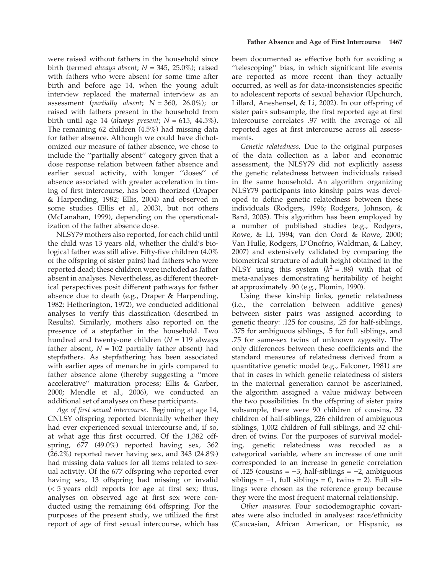were raised without fathers in the household since birth (termed always absent;  $N = 345$ , 25.0%); raised with fathers who were absent for some time after birth and before age 14, when the young adult interview replaced the maternal interview as an assessment (partially absent;  $N = 360$ , 26.0%); or raised with fathers present in the household from birth until age 14 (always present;  $N = 615$ , 44.5%). The remaining 62 children (4.5%) had missing data for father absence. Although we could have dichotomized our measure of father absence, we chose to include the ''partially absent'' category given that a dose response relation between father absence and earlier sexual activity, with longer ''doses'' of absence associated with greater acceleration in timing of first intercourse, has been theorized (Draper & Harpending, 1982; Ellis, 2004) and observed in some studies (Ellis et al., 2003), but not others (McLanahan, 1999), depending on the operationalization of the father absence dose.

NLSY79 mothers also reported, for each child until the child was 13 years old, whether the child's biological father was still alive. Fifty-five children (4.0% of the offspring of sister pairs) had fathers who were reported dead; these children were included as father absent in analyses. Nevertheless, as different theoretical perspectives posit different pathways for father absence due to death (e.g., Draper & Harpending, 1982; Hetherington, 1972), we conducted additional analyses to verify this classification (described in Results). Similarly, mothers also reported on the presence of a stepfather in the household. Two hundred and twenty-one children  $(N = 119)$  always father absent,  $N = 102$  partially father absent) had stepfathers. As stepfathering has been associated with earlier ages of menarche in girls compared to father absence alone (thereby suggesting a ''more accelerative'' maturation process; Ellis & Garber, 2000; Mendle et al., 2006), we conducted an additional set of analyses on these participants.

Age of first sexual intercourse. Beginning at age 14, CNLSY offspring reported biennially whether they had ever experienced sexual intercourse and, if so, at what age this first occurred. Of the 1,382 offspring, 677 (49.0%) reported having sex, 362 (26.2%) reported never having sex, and 343 (24.8%) had missing data values for all items related to sexual activity. Of the 677 offspring who reported ever having sex, 13 offspring had missing or invalid (< 5 years old) reports for age at first sex; thus, analyses on observed age at first sex were conducted using the remaining 664 offspring. For the purposes of the present study, we utilized the first report of age of first sexual intercourse, which has

been documented as effective both for avoiding a ''telescoping'' bias, in which significant life events are reported as more recent than they actually occurred, as well as for data-inconsistencies specific to adolescent reports of sexual behavior (Upchurch, Lillard, Aneshensel, & Li, 2002). In our offspring of sister pairs subsample, the first reported age at first intercourse correlates .97 with the average of all reported ages at first intercourse across all assessments.

Genetic relatedness. Due to the original purposes of the data collection as a labor and economic assessment, the NLSY79 did not explicitly assess the genetic relatedness between individuals raised in the same household. An algorithm organizing NLSY79 participants into kinship pairs was developed to define genetic relatedness between these individuals (Rodgers, 1996; Rodgers, Johnson, & Bard, 2005). This algorithm has been employed by a number of published studies (e.g., Rodgers, Rowe, & Li, 1994; van den Oord & Rowe, 2000; Van Hulle, Rodgers, D'Onofrio, Waldman, & Lahey, 2007) and extensively validated by comparing the biometrical structure of adult height obtained in the NLSY using this system  $(h^2 = .88)$  with that of meta-analyses demonstrating heritability of height at approximately .90 (e.g., Plomin, 1990).

Using these kinship links, genetic relatedness (i.e., the correlation between additive genes) between sister pairs was assigned according to genetic theory: .125 for cousins, .25 for half-siblings, .375 for ambiguous siblings, .5 for full siblings, and .75 for same-sex twins of unknown zygosity. The only differences between these coefficients and the standard measures of relatedness derived from a quantitative genetic model (e.g., Falconer, 1981) are that in cases in which genetic relatedness of sisters in the maternal generation cannot be ascertained, the algorithm assigned a value midway between the two possibilities. In the offspring of sister pairs subsample, there were 90 children of cousins, 32 children of half-siblings, 226 children of ambiguous siblings, 1,002 children of full siblings, and 32 children of twins. For the purposes of survival modeling, genetic relatedness was recoded as a categorical variable, where an increase of one unit corresponded to an increase in genetic correlation of .125 (cousins  $= -3$ , half-siblings  $= -2$ , ambiguous siblings  $= -1$ , full siblings  $= 0$ , twins  $= 2$ ). Full siblings were chosen as the reference group because they were the most frequent maternal relationship.

Other measures. Four sociodemographic covariates were also included in analyses: race ⁄ ethnicity (Caucasian, African American, or Hispanic, as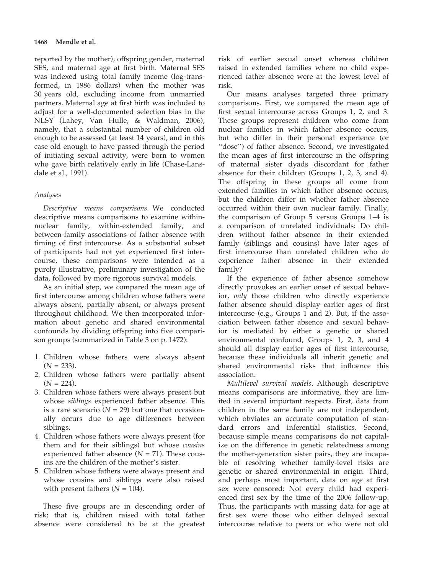reported by the mother), offspring gender, maternal SES, and maternal age at first birth. Maternal SES was indexed using total family income (log-transformed, in 1986 dollars) when the mother was 30 years old, excluding income from unmarried partners. Maternal age at first birth was included to adjust for a well-documented selection bias in the NLSY (Lahey, Van Hulle, & Waldman, 2006), namely, that a substantial number of children old enough to be assessed (at least 14 years), and in this case old enough to have passed through the period of initiating sexual activity, were born to women who gave birth relatively early in life (Chase-Lansdale et al., 1991).

### Analyses

Descriptive means comparisons. We conducted descriptive means comparisons to examine withinnuclear family, within-extended family, and between-family associations of father absence with timing of first intercourse. As a substantial subset of participants had not yet experienced first intercourse, these comparisons were intended as a purely illustrative, preliminary investigation of the data, followed by more rigorous survival models.

As an initial step, we compared the mean age of first intercourse among children whose fathers were always absent, partially absent, or always present throughout childhood. We then incorporated information about genetic and shared environmental confounds by dividing offspring into five comparison groups (summarized in Table 3 on p. 1472):

- 1. Children whose fathers were always absent  $(N = 233)$ .
- 2. Children whose fathers were partially absent  $(N = 224)$ .
- 3. Children whose fathers were always present but whose siblings experienced father absence. This is a rare scenario  $(N = 29)$  but one that occasionally occurs due to age differences between siblings.
- 4. Children whose fathers were always present (for them and for their siblings) but whose cousins experienced father absence  $(N = 71)$ . These cousins are the children of the mother's sister.
- 5. Children whose fathers were always present and whose cousins and siblings were also raised with present fathers  $(N = 104)$ .

These five groups are in descending order of risk; that is, children raised with total father absence were considered to be at the greatest risk of earlier sexual onset whereas children raised in extended families where no child experienced father absence were at the lowest level of risk.

Our means analyses targeted three primary comparisons. First, we compared the mean age of first sexual intercourse across Groups 1, 2, and 3. These groups represent children who come from nuclear families in which father absence occurs, but who differ in their personal experience (or ''dose'') of father absence. Second, we investigated the mean ages of first intercourse in the offspring of maternal sister dyads discordant for father absence for their children (Groups 1, 2, 3, and 4). The offspring in these groups all come from extended families in which father absence occurs, but the children differ in whether father absence occurred within their own nuclear family. Finally, the comparison of Group 5 versus Groups 1–4 is a comparison of unrelated individuals: Do children without father absence in their extended family (siblings and cousins) have later ages of first intercourse than unrelated children who do experience father absence in their extended family?

If the experience of father absence somehow directly provokes an earlier onset of sexual behavior, only those children who directly experience father absence should display earlier ages of first intercourse (e.g., Groups 1 and 2). But, if the association between father absence and sexual behavior is mediated by either a genetic or shared environmental confound, Groups 1, 2, 3, and 4 should all display earlier ages of first intercourse, because these individuals all inherit genetic and shared environmental risks that influence this association.

Multilevel survival models. Although descriptive means comparisons are informative, they are limited in several important respects. First, data from children in the same family are not independent, which obviates an accurate computation of standard errors and inferential statistics. Second, because simple means comparisons do not capitalize on the difference in genetic relatedness among the mother-generation sister pairs, they are incapable of resolving whether family-level risks are genetic or shared environmental in origin. Third, and perhaps most important, data on age at first sex were censored: Not every child had experienced first sex by the time of the 2006 follow-up. Thus, the participants with missing data for age at first sex were those who either delayed sexual intercourse relative to peers or who were not old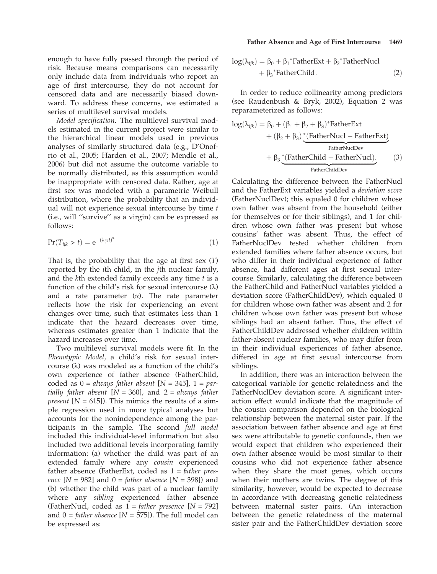enough to have fully passed through the period of risk. Because means comparisons can necessarily only include data from individuals who report an age of first intercourse, they do not account for censored data and are necessarily biased downward. To address these concerns, we estimated a series of multilevel survival models.

Model specification. The multilevel survival models estimated in the current project were similar to the hierarchical linear models used in previous analyses of similarly structured data (e.g., D'Onofrio et al., 2005; Harden et al., 2007; Mendle et al., 2006) but did not assume the outcome variable to be normally distributed, as this assumption would be inappropriate with censored data. Rather, age at first sex was modeled with a parametric Weibull distribution, where the probability that an individual will not experience sexual intercourse by time  $t$ (i.e., will ''survive'' as a virgin) can be expressed as follows:

$$
Pr(T_{ijk} > t) = e^{-(\lambda_{ijk}t)^{\alpha}} \tag{1}
$$

That is, the probability that the age at first sex  $(T)$ reported by the ith child, in the jth nuclear family, and the  $k$ th extended family exceeds any time  $t$  is a function of the child's risk for sexual intercourse  $(\lambda)$ and a rate parameter  $(\alpha)$ . The rate parameter reflects how the risk for experiencing an event changes over time, such that estimates less than 1 indicate that the hazard decreases over time, whereas estimates greater than 1 indicate that the hazard increases over time.

Two multilevel survival models were fit. In the Phenotypic Model, a child's risk for sexual intercourse  $(\lambda)$  was modeled as a function of the child's own experience of father absence (FatherChild, coded as  $0 = always$  father absent  $[N = 345]$ ,  $1 = par$ tially father absent  $[N = 360]$ , and  $2 =$  always father *present*  $[N = 615]$ ). This mimics the results of a simple regression used in more typical analyses but accounts for the nonindependence among the participants in the sample. The second full model included this individual-level information but also included two additional levels incorporating family information: (a) whether the child was part of an extended family where any cousin experienced father absence (FatherExt, coded as  $1 = father$  presence  $[N = 982]$  and  $0 =$  father absence  $[N = 398]$ ) and (b) whether the child was part of a nuclear family where any sibling experienced father absence (FatherNucl, coded as  $1 = \text{father}$  presence  $[N = 792]$ and  $0 =$  father absence [N = 575]). The full model can be expressed as:

$$
log(\lambda_{ijk}) = \beta_0 + \beta_1^* FatherExt + \beta_2^*FatherNucl + \beta_3^*FatherChild.
$$
 (2)

In order to reduce collinearity among predictors (see Raudenbush & Bryk, 2002), Equation 2 was reparameterized as follows:

$$
log(\lambda_{ijk}) = \beta_0 + (\beta_1 + \beta_2 + \beta_3)^* FatherExt + (\beta_2 + \beta_3) \underbrace{\text{``[FatherNucl - FatherExt]}} \text{FatherNuclDev} + \beta_3 \underbrace{\text{``[FatherChild - FatherNucl]}} \text{{} (3)}
$$

Calculating the difference between the FatherNucl and the FatherExt variables yielded a deviation score (FatherNuclDev); this equaled 0 for children whose own father was absent from the household (either for themselves or for their siblings), and 1 for children whose own father was present but whose cousins' father was absent. Thus, the effect of FatherNuclDev tested whether children from extended families where father absence occurs, but who differ in their individual experience of father absence, had different ages at first sexual intercourse. Similarly, calculating the difference between the FatherChild and FatherNucl variables yielded a deviation score (FatherChildDev), which equaled 0 for children whose own father was absent and 2 for children whose own father was present but whose siblings had an absent father. Thus, the effect of FatherChildDev addressed whether children within father-absent nuclear families, who may differ from in their individual experiences of father absence, differed in age at first sexual intercourse from siblings.

In addition, there was an interaction between the categorical variable for genetic relatedness and the FatherNuclDev deviation score. A significant interaction effect would indicate that the magnitude of the cousin comparison depended on the biological relationship between the maternal sister pair. If the association between father absence and age at first sex were attributable to genetic confounds, then we would expect that children who experienced their own father absence would be most similar to their cousins who did not experience father absence when they share the most genes, which occurs when their mothers are twins. The degree of this similarity, however, would be expected to decrease in accordance with decreasing genetic relatedness between maternal sister pairs. (An interaction between the genetic relatedness of the maternal sister pair and the FatherChildDev deviation score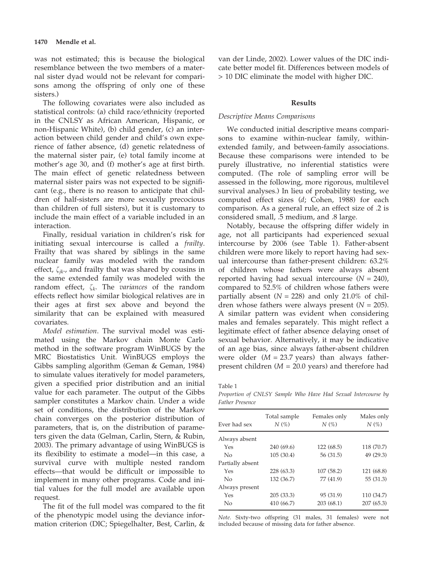was not estimated; this is because the biological resemblance between the two members of a maternal sister dyad would not be relevant for comparisons among the offspring of only one of these sisters.)

The following covariates were also included as statistical controls: (a) child race ⁄ ethnicity (reported in the CNLSY as African American, Hispanic, or non-Hispanic White), (b) child gender, (c) an interaction between child gender and child's own experience of father absence, (d) genetic relatedness of the maternal sister pair, (e) total family income at mother's age 30, and (f) mother's age at first birth. The main effect of genetic relatedness between maternal sister pairs was not expected to be significant (e.g., there is no reason to anticipate that children of half-sisters are more sexually precocious than children of full sisters), but it is customary to include the main effect of a variable included in an interaction.

Finally, residual variation in children's risk for initiating sexual intercourse is called a frailty. Frailty that was shared by siblings in the same nuclear family was modeled with the random effect,  $\zeta_{ik}$ , and frailty that was shared by cousins in the same extended family was modeled with the random effect,  $\zeta_k$ . The variances of the random effects reflect how similar biological relatives are in their ages at first sex above and beyond the similarity that can be explained with measured covariates.

Model estimation. The survival model was estimated using the Markov chain Monte Carlo method in the software program WinBUGS by the MRC Biostatistics Unit. WinBUGS employs the Gibbs sampling algorithm (Geman & Geman, 1984) to simulate values iteratively for model parameters, given a specified prior distribution and an initial value for each parameter. The output of the Gibbs sampler constitutes a Markov chain. Under a wide set of conditions, the distribution of the Markov chain converges on the posterior distribution of parameters, that is, on the distribution of parameters given the data (Gelman, Carlin, Stern, & Rubin, 2003). The primary advantage of using WinBUGS is its flexibility to estimate a model—in this case, a survival curve with multiple nested random effects—that would be difficult or impossible to implement in many other programs. Code and initial values for the full model are available upon request.

The fit of the full model was compared to the fit of the phenotypic model using the deviance information criterion (DIC; Spiegelhalter, Best, Carlin, &

van der Linde, 2002). Lower values of the DIC indicate better model fit. Differences between models of > 10 DIC eliminate the model with higher DIC.

#### Results

#### Descriptive Means Comparisons

We conducted initial descriptive means comparisons to examine within-nuclear family, withinextended family, and between-family associations. Because these comparisons were intended to be purely illustrative, no inferential statistics were computed. (The role of sampling error will be assessed in the following, more rigorous, multilevel survival analyses.) In lieu of probability testing, we computed effect sizes (d; Cohen, 1988) for each comparison. As a general rule, an effect size of .2 is considered small, .5 medium, and .8 large.

Notably, because the offspring differ widely in age, not all participants had experienced sexual intercourse by 2006 (see Table 1). Father-absent children were more likely to report having had sexual intercourse than father-present children: 63.2% of children whose fathers were always absent reported having had sexual intercourse  $(N = 240)$ , compared to 52.5% of children whose fathers were partially absent  $(N = 228)$  and only 21.0% of children whose fathers were always present  $(N = 205)$ . A similar pattern was evident when considering males and females separately. This might reflect a legitimate effect of father absence delaying onset of sexual behavior. Alternatively, it may be indicative of an age bias, since always father-absent children were older  $(M = 23.7 \text{ years})$  than always fatherpresent children  $(M = 20.0$  years) and therefore had

Table 1

Proportion of CNLSY Sample Who Have Had Sexual Intercourse by Father Presence

|                  | Total sample | Females only | Males only |
|------------------|--------------|--------------|------------|
| Ever had sex     | $N(\%)$      | $N(\%)$      | $N(\%)$    |
| Always absent    |              |              |            |
| Yes              | 240 (69.6)   | 122 (68.5)   | 118 (70.7) |
| No               | 105(30.4)    | 56 (31.5)    | 49 (29.3)  |
| Partially absent |              |              |            |
| Yes              | 228 (63.3)   | 107 (58.2)   | 121 (68.8) |
| No               | 132 (36.7)   | 77 (41.9)    | 55 (31.3)  |
| Always present   |              |              |            |
| Yes              | 205(33.3)    | 95 (31.9)    | 110 (34.7) |
| No               | 410 (66.7)   | 203(68.1)    | 207 (65.3) |

Note. Sixty-two offspring (31 males, 31 females) were not included because of missing data for father absence.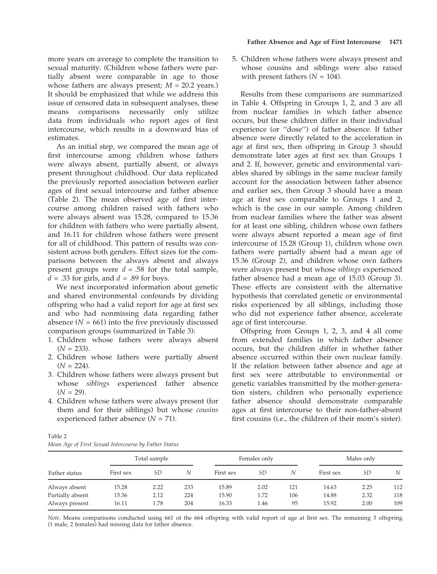more years on average to complete the transition to sexual maturity. (Children whose fathers were partially absent were comparable in age to those whose fathers are always present;  $M = 20.2$  years.) It should be emphasized that while we address this issue of censored data in subsequent analyses, these means comparisons necessarily only utilize data from individuals who report ages of first intercourse, which results in a downward bias of estimates.

As an initial step, we compared the mean age of first intercourse among children whose fathers were always absent, partially absent, or always present throughout childhood. Our data replicated the previously reported association between earlier ages of first sexual intercourse and father absence (Table 2). The mean observed age of first intercourse among children raised with fathers who were always absent was 15.28, compared to 15.36 for children with fathers who were partially absent, and 16.11 for children whose fathers were present for all of childhood. This pattern of results was consistent across both genders. Effect sizes for the comparisons between the always absent and always present groups were  $d = .58$  for the total sample,  $d = 0.33$  for girls, and  $d = 0.89$  for boys.

We next incorporated information about genetic and shared environmental confounds by dividing offspring who had a valid report for age at first sex and who had nonmissing data regarding father absence  $(N = 661)$  into the five previously discussed comparison groups (summarized in Table 3):

- 1. Children whose fathers were always absent  $(N = 233)$ .
- 2. Children whose fathers were partially absent  $(N = 224)$ .
- 3. Children whose fathers were always present but whose siblings experienced father absence  $(N = 29)$ .
- 4. Children whose fathers were always present (for them and for their siblings) but whose cousins experienced father absence  $(N = 71)$ .

5. Children whose fathers were always present and whose cousins and siblings were also raised with present fathers  $(N = 104)$ .

Results from these comparisons are summarized in Table 4. Offspring in Groups 1, 2, and 3 are all from nuclear families in which father absence occurs, but these children differ in their individual experience (or ''dose'') of father absence. If father absence were directly related to the acceleration in age at first sex, then offspring in Group 3 should demonstrate later ages at first sex than Groups 1 and 2. If, however, genetic and environmental variables shared by siblings in the same nuclear family account for the association between father absence and earlier sex, then Group 3 should have a mean age at first sex comparable to Groups 1 and 2, which is the case in our sample. Among children from nuclear families where the father was absent for at least one sibling, children whose own fathers were always absent reported a mean age of first intercourse of 15.28 (Group 1), children whose own fathers were partially absent had a mean age of 15.36 (Group 2), and children whose own fathers were always present but whose siblings experienced father absence had a mean age of 15.03 (Group 3). These effects are consistent with the alternative hypothesis that correlated genetic or environmental risks experienced by all siblings, including those who did not experience father absence, accelerate age of first intercourse.

Offspring from Groups 1, 2, 3, and 4 all come from extended families in which father absence occurs, but the children differ in whether father absence occurred within their own nuclear family. If the relation between father absence and age at first sex were attributable to environmental or genetic variables transmitted by the mother-generation sisters, children who personally experience father absence should demonstrate comparable ages at first intercourse to their non-father-absent first cousins (i.e., the children of their mom's sister).

| Table 2                                               |  |
|-------------------------------------------------------|--|
| Mean Age of First Sexual Intercourse by Father Status |  |

|                  | Total sample |      | Females only |           | Males only |     |           |      |     |
|------------------|--------------|------|--------------|-----------|------------|-----|-----------|------|-----|
| Father status    | First sex    | SD   | N            | First sex | SD         | N   | First sex | SD   | N   |
| Always absent    | 15.28        | 2.22 | 233          | 15.89     | 2.02       | 121 | 14.63     | 2.25 | 112 |
| Partially absent | 15.36        | 2.12 | 224          | 15.90     | 1.72       | 106 | 14.88     | 2.32 | 118 |
| Always present   | 16.11        | 1.78 | 204          | 16.33     | 1.46       | 95  | 15.92     | 2.00 | 109 |

Note. Means comparisons conducted using 661 of the 664 offspring with valid report of age at first sex. The remaining 3 offspring (1 male, 2 females) had missing data for father absence.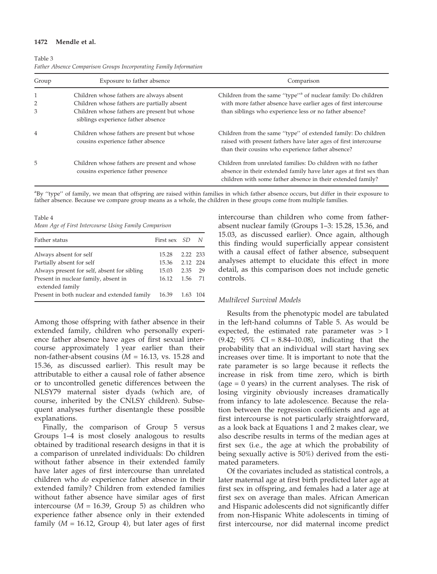Table 3 Father Absence Comparison Groups Incorporating Family Information

| Group          | Exposure to father absence                                                              | Comparison                                                                                                                                                                                        |
|----------------|-----------------------------------------------------------------------------------------|---------------------------------------------------------------------------------------------------------------------------------------------------------------------------------------------------|
| 1<br>2         | Children whose fathers are always absent<br>Children whose fathers are partially absent | Children from the same "type" <sup>a</sup> of nuclear family: Do children<br>with more father absence have earlier ages of first intercourse                                                      |
| 3              | Children whose fathers are present but whose<br>siblings experience father absence      | than siblings who experience less or no father absence?                                                                                                                                           |
| $\overline{4}$ | Children whose fathers are present but whose<br>cousins experience father absence       | Children from the same "type" of extended family: Do children<br>raised with present fathers have later ages of first intercourse<br>than their cousins who experience father absence?            |
| 5              | Children whose fathers are present and whose<br>cousins experience father presence      | Children from unrelated families: Do children with no father<br>absence in their extended family have later ages at first sex than<br>children with some father absence in their extended family? |

<sup>a</sup>By "type" of family, we mean that offspring are raised within families in which father absence occurs, but differ in their exposure to father absence. Because we compare group means as a whole, the children in these groups come from multiple families.

Table 4 Mean Age of First Intercourse Using Family Comparison

| Father status                                           | First sex SD |           | N   |
|---------------------------------------------------------|--------------|-----------|-----|
| Always absent for self                                  | 15.28        | 2.22 2.33 |     |
| Partially absent for self                               | 15.36        | 2.12 224  |     |
| Always present for self, absent for sibling             | 15.03        | 2.35      | 29  |
| Present in nuclear family, absent in<br>extended family | 16.12        | 1.56      | 71  |
| Present in both nuclear and extended family             | 16.39        | 1.63      | 104 |

Among those offspring with father absence in their extended family, children who personally experience father absence have ages of first sexual intercourse approximately 1 year earlier than their non-father-absent cousins ( $M = 16.13$ , vs. 15.28 and 15.36, as discussed earlier). This result may be attributable to either a causal role of father absence or to uncontrolled genetic differences between the NLSY79 maternal sister dyads (which are, of course, inherited by the CNLSY children). Subsequent analyses further disentangle these possible explanations.

Finally, the comparison of Group 5 versus Groups 1–4 is most closely analogous to results obtained by traditional research designs in that it is a comparison of unrelated individuals: Do children without father absence in their extended family have later ages of first intercourse than unrelated children who do experience father absence in their extended family? Children from extended families without father absence have similar ages of first intercourse  $(M = 16.39,$  Group 5) as children who experience father absence only in their extended family  $(M = 16.12,$  Group 4), but later ages of first intercourse than children who come from fatherabsent nuclear family (Groups 1–3: 15.28, 15.36, and 15.03, as discussed earlier). Once again, although this finding would superficially appear consistent with a causal effect of father absence, subsequent analyses attempt to elucidate this effect in more detail, as this comparison does not include genetic controls.

#### Multilevel Survival Models

Results from the phenotypic model are tabulated in the left-hand columns of Table 5. As would be expected, the estimated rate parameter was > 1  $(9.42; 95\% \text{ CI} = 8.84{\text -}10.08)$ , indicating that the probability that an individual will start having sex increases over time. It is important to note that the rate parameter is so large because it reflects the increase in risk from time zero, which is birth (age  $= 0$  years) in the current analyses. The risk of losing virginity obviously increases dramatically from infancy to late adolescence. Because the relation between the regression coefficients and age at first intercourse is not particularly straightforward, as a look back at Equations 1 and 2 makes clear, we also describe results in terms of the median ages at first sex (i.e., the age at which the probability of being sexually active is 50%) derived from the estimated parameters.

Of the covariates included as statistical controls, a later maternal age at first birth predicted later age at first sex in offspring, and females had a later age at first sex on average than males. African American and Hispanic adolescents did not significantly differ from non-Hispanic White adolescents in timing of first intercourse, nor did maternal income predict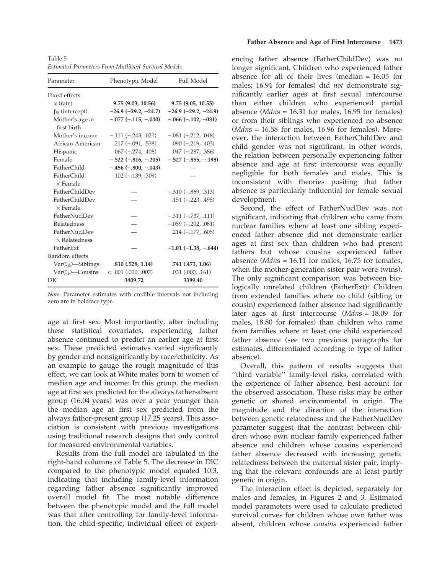Table 5 Estimated Parameters From Mutlilevel Survival Models

| Parameter                      | Phenotypic Model              | <b>Full Model</b>             |  |
|--------------------------------|-------------------------------|-------------------------------|--|
| Fixed effects                  |                               |                               |  |
| $\alpha$ (rate)                | 9.75 (9.03, 10.56)            | 9.75 (9.05, 10.55)            |  |
| $\beta_0$ (intercept)          | $-26.9$ ( $-29.2$ , $-24.7$ ) | $-26.9$ ( $-29.2$ , $-24.9$ ) |  |
| Mother's age at<br>first birth | $-.077$ ( $-.115, -.040$ )    | $-.066(-.102,-031)$           |  |
| Mother's income                | $-.111 (-.243, .021)$         | $-.081(-.212, .048)$          |  |
| African American               | $.217(-.091, .538)$           | $.090 (-.219, .403)$          |  |
| Hispanic                       | $.067(-.274, .408)$           | $.047 (-.287, .386)$          |  |
| Female                         | $-.522(-.816, -.205)$         | $-.527(-.855,-.198)$          |  |
| FatherChild                    | $-.456(-.800, -.043)$         |                               |  |
| FatherChild                    | $.102 (-.139, .309)$          |                               |  |
| $\times$ Female                |                               |                               |  |
| FatherChildDev                 |                               | $-.310(-.869, .313)$          |  |
| FatherChildDev                 |                               | $.151(-.223, .495)$           |  |
| $\times$ Female                |                               |                               |  |
| FatherNuclDev                  |                               | $-.311(-.737, .111)$          |  |
| Relatedness                    |                               | $-.059(-.202, .081)$          |  |
| FatherNuclDev                  |                               | $.214 (-.177, .605)$          |  |
| $\times$ Relatedness           |                               |                               |  |
| FatherExt                      |                               | $-1.01(-1.38, -.644)$         |  |
| Random effects                 |                               |                               |  |
| $Var(\zeta_{ik})$ —Siblings    | .810(.528, 1.14)              | .741 (.473, 1.06)             |  |
| $Var(\zeta_k)$ —Cousins        | < .001 (.000, .007)           | $.031$ $(.000, .161)$         |  |
| DIC.                           | 3409.72                       | 3399.40                       |  |

Note. Parameter estimates with credible intervals not including zero are in boldface type.

age at first sex. Most importantly, after including these statistical covariates, experiencing father absence continued to predict an earlier age at first sex. These predicted estimates varied significantly by gender and nonsignificantly by race ⁄ ethnicity. As an example to gauge the rough magnitude of this effect, we can look at White males born to women of median age and income: In this group, the median age at first sex predicted for the always father-absent group (16.04 years) was over a year younger than the median age at first sex predicted from the always father-present group (17.25 years). This association is consistent with previous investigations using traditional research designs that only control for measured environmental variables.

Results from the full model are tabulated in the right-hand columns of Table 5. The decrease in DIC compared to the phenotypic model equaled 10.3, indicating that including family-level information regarding father absence significantly improved overall model fit. The most notable difference between the phenotypic model and the full model was that after controlling for family-level information, the child-specific, individual effect of experiencing father absence (FatherChildDev) was no longer significant. Children who experienced father absence for all of their lives (median = 16.05 for males; 16.94 for females) did not demonstrate significantly earlier ages at first sexual intercourse than either children who experienced partial absence ( $Mdns = 16.31$  for males, 16.95 for females) or from their siblings who experienced no absence  $(Mdns = 16.58$  for males, 16.96 for females). Moreover, the interaction between FatherChildDev and child gender was not significant. In other words, the relation between personally experiencing father absence and age at first intercourse was equally negligible for both females and males. This is inconsistent with theories positing that father absence is particularly influential for female sexual development.

Second, the effect of FatherNuclDev was not significant, indicating that children who came from nuclear families where at least one sibling experienced father absence did not demonstrate earlier ages at first sex than children who had present fathers but whose cousins experienced father absence ( $Mdns = 16.11$  for males, 16.75 for females, when the mother-generation sister pair were twins). The only significant comparison was between biologically unrelated children (FatherExt): Children from extended families where no child (sibling or cousin) experienced father absence had significantly later ages at first intercourse (Mdns = 18.09 for males, 18.80 for females) than children who came from families where at least one child experienced father absence (see two previous paragraphs for estimates, differentiated according to type of father absence).

Overall, this pattern of results suggests that ''third variable'' family-level risks, correlated with the experience of father absence, best account for the observed association. These risks may be either genetic or shared environmental in origin. The magnitude and the direction of the interaction between genetic relatedness and the FatherNuclDev parameter suggest that the contrast between children whose own nuclear family experienced father absence and children whose cousins experienced father absence decreased with increasing genetic relatedness between the maternal sister pair, implying that the relevant confounds are at least partly genetic in origin.

The interaction effect is depicted, separately for males and females, in Figures 2 and 3. Estimated model parameters were used to calculate predicted survival curves for children whose own father was absent, children whose cousins experienced father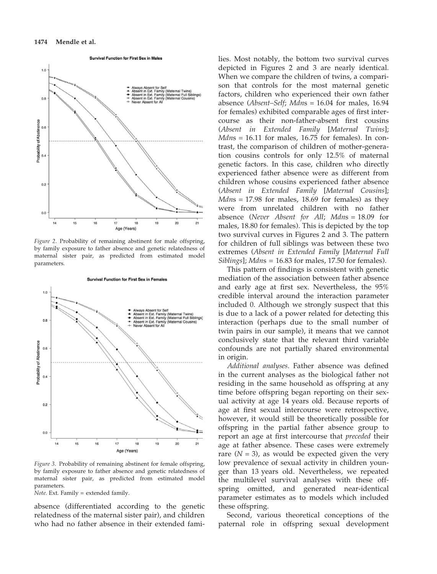#### Survival Function for First Sex in Males



Figure 2. Probability of remaining abstinent for male offspring, by family exposure to father absence and genetic relatedness of maternal sister pair, as predicted from estimated model parameters.



Figure 3. Probability of remaining abstinent for female offspring, by family exposure to father absence and genetic relatedness of maternal sister pair, as predicted from estimated model parameters.

Note. Ext. Family = extended family.

absence (differentiated according to the genetic relatedness of the maternal sister pair), and children who had no father absence in their extended families. Most notably, the bottom two survival curves depicted in Figures 2 and 3 are nearly identical. When we compare the children of twins, a comparison that controls for the most maternal genetic factors, children who experienced their own father absence (Absent–Self; Mdns =  $16.04$  for males,  $16.94$ for females) exhibited comparable ages of first intercourse as their non-father-absent first cousins (Absent in Extended Family [Maternal Twins];  $M$ dns = 16.11 for males, 16.75 for females). In contrast, the comparison of children of mother-generation cousins controls for only 12.5% of maternal genetic factors. In this case, children who directly experienced father absence were as different from children whose cousins experienced father absence (Absent in Extended Family [Maternal Cousins];  $M$ dns = 17.98 for males, 18.69 for females) as they were from unrelated children with no father absence (Never Absent for All; Mdns = 18.09 for males, 18.80 for females). This is depicted by the top two survival curves in Figures 2 and 3. The pattern for children of full siblings was between these two extremes (Absent in Extended Family [Maternal Full Siblings]; Mdns = 16.83 for males, 17.50 for females).

This pattern of findings is consistent with genetic mediation of the association between father absence and early age at first sex. Nevertheless, the 95% credible interval around the interaction parameter included 0. Although we strongly suspect that this is due to a lack of a power related for detecting this interaction (perhaps due to the small number of twin pairs in our sample), it means that we cannot conclusively state that the relevant third variable confounds are not partially shared environmental in origin.

Additional analyses. Father absence was defined in the current analyses as the biological father not residing in the same household as offspring at any time before offspring began reporting on their sexual activity at age 14 years old. Because reports of age at first sexual intercourse were retrospective, however, it would still be theoretically possible for offspring in the partial father absence group to report an age at first intercourse that preceded their age at father absence. These cases were extremely rare  $(N = 3)$ , as would be expected given the very low prevalence of sexual activity in children younger than 13 years old. Nevertheless, we repeated the multilevel survival analyses with these offspring omitted, and generated near-identical parameter estimates as to models which included these offspring.

Second, various theoretical conceptions of the paternal role in offspring sexual development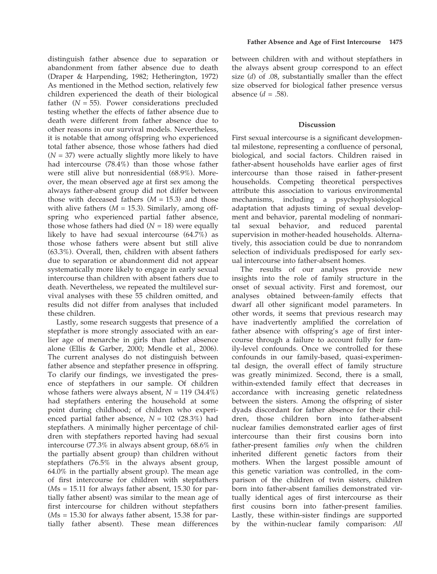distinguish father absence due to separation or abandonment from father absence due to death (Draper & Harpending, 1982; Hetherington, 1972) As mentioned in the Method section, relatively few children experienced the death of their biological father  $(N = 55)$ . Power considerations precluded testing whether the effects of father absence due to death were different from father absence due to other reasons in our survival models. Nevertheless, it is notable that among offspring who experienced total father absence, those whose fathers had died  $(N = 37)$  were actually slightly more likely to have had intercourse (78.4%) than those whose father were still alive but nonresidential (68.9%). Moreover, the mean observed age at first sex among the always father-absent group did not differ between those with deceased fathers  $(M = 15.3)$  and those with alive fathers  $(M = 15.3)$ . Similarly, among offspring who experienced partial father absence, those whose fathers had died  $(N = 18)$  were equally likely to have had sexual intercourse (64.7%) as those whose fathers were absent but still alive (63.3%). Overall, then, children with absent fathers due to separation or abandonment did not appear systematically more likely to engage in early sexual intercourse than children with absent fathers due to death. Nevertheless, we repeated the multilevel survival analyses with these 55 children omitted, and results did not differ from analyses that included these children.

Lastly, some research suggests that presence of a stepfather is more strongly associated with an earlier age of menarche in girls than father absence alone (Ellis & Garber, 2000; Mendle et al., 2006). The current analyses do not distinguish between father absence and stepfather presence in offspring. To clarify our findings, we investigated the presence of stepfathers in our sample. Of children whose fathers were always absent,  $N = 119$  (34.4%) had stepfathers entering the household at some point during childhood; of children who experienced partial father absence,  $N = 102$  (28.3%) had stepfathers. A minimally higher percentage of children with stepfathers reported having had sexual intercourse (77.3% in always absent group, 68.6% in the partially absent group) than children without stepfathers (76.5% in the always absent group, 64.0% in the partially absent group). The mean age of first intercourse for children with stepfathers  $(Ms = 15.11$  for always father absent, 15.30 for partially father absent) was similar to the mean age of first intercourse for children without stepfathers  $(Ms = 15.30$  for always father absent, 15.38 for partially father absent). These mean differences

between children with and without stepfathers in the always absent group correspond to an effect size (d) of .08, substantially smaller than the effect size observed for biological father presence versus absence  $(d = .58)$ .

### Discussion

First sexual intercourse is a significant developmental milestone, representing a confluence of personal, biological, and social factors. Children raised in father-absent households have earlier ages of first intercourse than those raised in father-present households. Competing theoretical perspectives attribute this association to various environmental mechanisms, including a psychophysiological adaptation that adjusts timing of sexual development and behavior, parental modeling of nonmarital sexual behavior, and reduced parental supervision in mother-headed households. Alternatively, this association could be due to nonrandom selection of individuals predisposed for early sexual intercourse into father-absent homes.

The results of our analyses provide new insights into the role of family structure in the onset of sexual activity. First and foremost, our analyses obtained between-family effects that dwarf all other significant model parameters. In other words, it seems that previous research may have inadvertently amplified the correlation of father absence with offspring's age of first intercourse through a failure to account fully for family-level confounds. Once we controlled for these confounds in our family-based, quasi-experimental design, the overall effect of family structure was greatly minimized. Second, there is a small, within-extended family effect that decreases in accordance with increasing genetic relatedness between the sisters. Among the offspring of sister dyads discordant for father absence for their children, those children born into father-absent nuclear families demonstrated earlier ages of first intercourse than their first cousins born into father-present families only when the children inherited different genetic factors from their mothers. When the largest possible amount of this genetic variation was controlled, in the comparison of the children of twin sisters, children born into father-absent families demonstrated virtually identical ages of first intercourse as their first cousins born into father-present families. Lastly, these within-sister findings are supported by the within-nuclear family comparison: All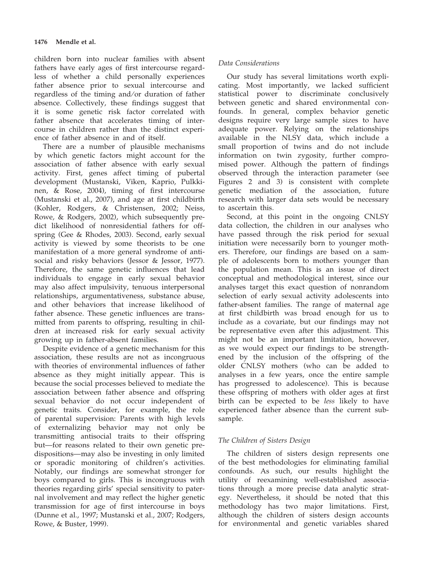children born into nuclear families with absent fathers have early ages of first intercourse regardless of whether a child personally experiences father absence prior to sexual intercourse and regardless of the timing and/or duration of father absence. Collectively, these findings suggest that it is some genetic risk factor correlated with father absence that accelerates timing of intercourse in children rather than the distinct experience of father absence in and of itself.

There are a number of plausible mechanisms by which genetic factors might account for the association of father absence with early sexual activity. First, genes affect timing of pubertal development (Mustanski, Viken, Kaprio, Pulkkinen, & Rose, 2004), timing of first intercourse (Mustanski et al., 2007), and age at first childbirth (Kohler, Rodgers, & Christensen, 2002; Neiss, Rowe, & Rodgers, 2002), which subsequently predict likelihood of nonresidential fathers for offspring (Gee & Rhodes, 2003). Second, early sexual activity is viewed by some theorists to be one manifestation of a more general syndrome of antisocial and risky behaviors (Jessor & Jessor, 1977). Therefore, the same genetic influences that lead individuals to engage in early sexual behavior may also affect impulsivity, tenuous interpersonal relationships, argumentativeness, substance abuse, and other behaviors that increase likelihood of father absence. These genetic influences are transmitted from parents to offspring, resulting in children at increased risk for early sexual activity growing up in father-absent families.

Despite evidence of a genetic mechanism for this association, these results are not as incongruous with theories of environmental influences of father absence as they might initially appear. This is because the social processes believed to mediate the association between father absence and offspring sexual behavior do not occur independent of genetic traits. Consider, for example, the role of parental supervision: Parents with high levels of externalizing behavior may not only be transmitting antisocial traits to their offspring but—for reasons related to their own genetic predispositions—may also be investing in only limited or sporadic monitoring of children's activities. Notably, our findings are somewhat stronger for boys compared to girls. This is incongruous with theories regarding girls' special sensitivity to paternal involvement and may reflect the higher genetic transmission for age of first intercourse in boys (Dunne et al., 1997; Mustanski et al., 2007; Rodgers, Rowe, & Buster, 1999).

### Data Considerations

Our study has several limitations worth explicating. Most importantly, we lacked sufficient statistical power to discriminate conclusively between genetic and shared environmental confounds. In general, complex behavior genetic designs require very large sample sizes to have adequate power. Relying on the relationships available in the NLSY data, which include a small proportion of twins and do not include information on twin zygosity, further compromised power. Although the pattern of findings observed through the interaction parameter (see Figures 2 and 3) is consistent with complete genetic mediation of the association, future research with larger data sets would be necessary to ascertain this.

Second, at this point in the ongoing CNLSY data collection, the children in our analyses who have passed through the risk period for sexual initiation were necessarily born to younger mothers. Therefore, our findings are based on a sample of adolescents born to mothers younger than the population mean. This is an issue of direct conceptual and methodological interest, since our analyses target this exact question of nonrandom selection of early sexual activity adolescents into father-absent families. The range of maternal age at first childbirth was broad enough for us to include as a covariate, but our findings may not be representative even after this adjustment. This might not be an important limitation, however, as we would expect our findings to be strengthened by the inclusion of the offspring of the older CNLSY mothers (who can be added to analyses in a few years, once the entire sample has progressed to adolescence). This is because these offspring of mothers with older ages at first birth can be expected to be less likely to have experienced father absence than the current subsample.

## The Children of Sisters Design

The children of sisters design represents one of the best methodologies for eliminating familial confounds. As such, our results highlight the utility of reexamining well-established associations through a more precise data analytic strategy. Nevertheless, it should be noted that this methodology has two major limitations. First, although the children of sisters design accounts for environmental and genetic variables shared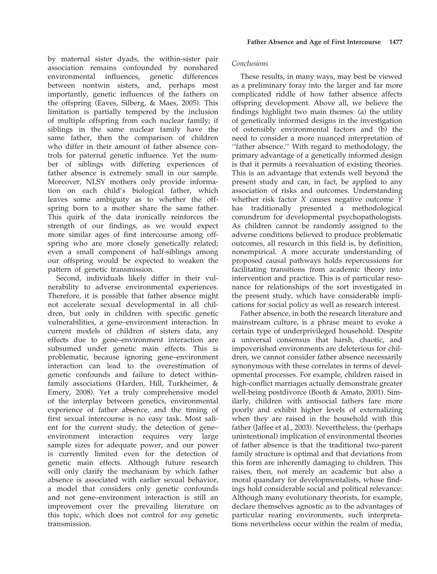by maternal sister dyads, the within-sister pair association remains confounded by nonshared environmental influences, genetic differences between nontwin sisters, and, perhaps most importantly, genetic influences of the fathers on the offspring (Eaves, Silberg, & Maes, 2005). This limitation is partially tempered by the inclusion of multiple offspring from each nuclear family; if siblings in the same nuclear family have the same father, then the comparison of children who differ in their amount of father absence controls for paternal genetic influence. Yet the number of siblings with differing experiences of father absence is extremely small in our sample. Moreover, NLSY mothers only provide information on each child's biological father, which leaves some ambiguity as to whether the offspring born to a mother share the same father. This quirk of the data ironically reinforces the strength of our findings, as we would expect more similar ages of first intercourse among offspring who are more closely genetically related; even a small component of half-siblings among our offspring would be expected to weaken the pattern of genetic transmission.

Second, individuals likely differ in their vulnerability to adverse environmental experiences. Therefore, it is possible that father absence might not accelerate sexual developmental in all children, but only in children with specific genetic vulnerabilities, a gene–environment interaction. In current models of children of sisters data, any effects due to gene–environment interaction are subsumed under genetic main effects. This is problematic, because ignoring gene–environment interaction can lead to the overestimation of genetic confounds and failure to detect withinfamily associations (Harden, Hill, Turkheimer, & Emery, 2008). Yet a truly comprehensive model of the interplay between genetics, environmental experience of father absence, and the timing of first sexual intercourse is no easy task. Most salient for the current study, the detection of gene– environment interaction requires very large sample sizes for adequate power, and our power is currently limited even for the detection of genetic main effects. Although future research will only clarify the mechanism by which father absence is associated with earlier sexual behavior, a model that considers only genetic confounds and not gene–environment interaction is still an improvement over the prevailing literature on this topic, which does not control for any genetic transmission.

#### Conclusions

These results, in many ways, may best be viewed as a preliminary foray into the larger and far more complicated riddle of how father absence affects offspring development. Above all, we believe the findings highlight two main themes: (a) the utility of genetically informed designs in the investigation of ostensibly environmental factors and (b) the need to consider a more nuanced interpretation of "father absence." With regard to methodology, the primary advantage of a genetically informed design is that it permits a reevaluation of existing theories. This is an advantage that extends well beyond the present study and can, in fact, be applied to any association of risks and outcomes. Understanding whether risk factor X causes negative outcome Y has traditionally presented a methodological conundrum for developmental psychopathologists. As children cannot be randomly assigned to the adverse conditions believed to produce problematic outcomes, all research in this field is, by definition, nonempirical. A more accurate understanding of proposed causal pathways holds repercussions for facilitating transitions from academic theory into intervention and practice. This is of particular resonance for relationships of the sort investigated in the present study, which have considerable implications for social policy as well as research interest.

Father absence, in both the research literature and mainstream culture, is a phrase meant to evoke a certain type of underprivileged household. Despite a universal consensus that harsh, chaotic, and impoverished environments are deleterious for children, we cannot consider father absence necessarily synonymous with these correlates in terms of developmental processes. For example, children raised in high-conflict marriages actually demonstrate greater well-being postdivorce (Booth & Amato, 2001). Similarly, children with antisocial fathers fare more poorly and exhibit higher levels of externalizing when they are raised in the household with this father (Jaffee et al., 2003). Nevertheless, the (perhaps unintentional) implication of environmental theories of father absence is that the traditional two-parent family structure is optimal and that deviations from this form are inherently damaging to children. This raises, then, not merely an academic but also a moral quandary for developmentalists, whose findings hold considerable social and political relevance: Although many evolutionary theorists, for example, declare themselves agnostic as to the advantages of particular rearing environments, such interpretations nevertheless occur within the realm of media,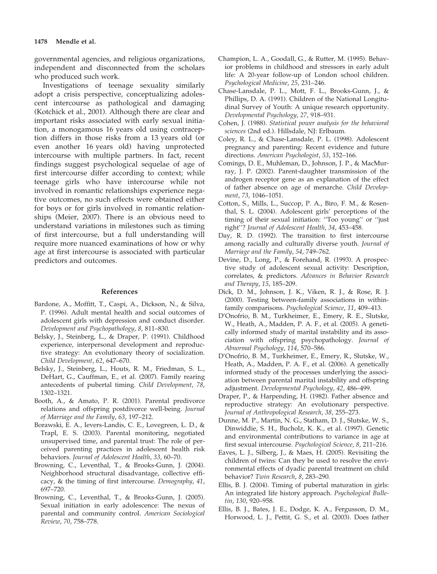governmental agencies, and religious organizations, independent and disconnected from the scholars who produced such work.

Investigations of teenage sexuality similarly adopt a crisis perspective, conceptualizing adolescent intercourse as pathological and damaging (Kotchick et al., 2001). Although there are clear and important risks associated with early sexual initiation, a monogamous 16 years old using contraception differs in those risks from a 13 years old (or even another 16 years old) having unprotected intercourse with multiple partners. In fact, recent findings suggest psychological sequelae of age of first intercourse differ according to context; while teenage girls who have intercourse while not involved in romantic relationships experience negative outcomes, no such effects were obtained either for boys or for girls involved in romantic relationships (Meier, 2007). There is an obvious need to understand variations in milestones such as timing of first intercourse, but a full understanding will require more nuanced examinations of how or why age at first intercourse is associated with particular predictors and outcomes.

#### References

- Bardone, A., Moffitt, T., Caspi, A., Dickson, N., & Silva, P. (1996). Adult mental health and social outcomes of adolescent girls with depression and conduct disorder. Development and Psychopathology, 8, 811–830.
- Belsky, J., Steinberg, L., & Draper, P. (1991). Childhood experience, interpersonal development and reproductive strategy: An evolutionary theory of socialization. Child Development, 62, 647–670.
- Belsky, J., Steinberg, L., Houts, R. M., Friedman, S. L., DeHart, G., Cauffman, E., et al. (2007). Family rearing antecedents of pubertal timing. Child Development, 78, 1302–1321.
- Booth, A., & Amato, P. R. (2001). Parental predivorce relations and offspring postdivorce well-being. Journal of Marriage and the Family, 63, 197–212.
- Borawski, E. A., Ievers-Landis, C. E., Lovegreen, L. D., & Trapl, E. S. (2003). Parental monitoring, negotiated unsupervised time, and parental trust: The role of perceived parenting practices in adolescent health risk behaviors. Journal of Adolescent Health, 33, 60–70.
- Browning, C., Leventhal, T., & Brooks-Gunn, J. (2004). Neighborhood structural disadvantage, collective efficacy, & the timing of first intercourse. Demography, 41, 697–720.
- Browning, C., Leventhal, T., & Brooks-Gunn, J. (2005). Sexual initiation in early adolescence: The nexus of parental and community control. American Sociological Review, 70, 758–778.
- Champion, L. A., Goodall, G., & Rutter, M. (1995). Behavior problems in childhood and stressors in early adult life: A 20-year follow-up of London school children. Psychological Medicine, 25, 231–246.
- Chase-Lansdale, P. L., Mott, F. L., Brooks-Gunn, J., & Phillips, D. A. (1991). Children of the National Longitudinal Survey of Youth: A unique research opportunity. Developmental Psychology, 27, 918–931.
- Cohen, J. (1988). Statistical power analysis for the behavioral sciences (2nd ed.). Hillsdale, NJ: Erlbaum.
- Coley, R. L., & Chase-Lansdale, P. L. (1998). Adolescent pregnancy and parenting: Recent evidence and future directions. American Psychologist, 53, 152–166.
- Comings, D. E., Muhleman, D., Johnson, J. P., & MacMurray, J. P. (2002). Parent-daughter transmission of the androgen receptor gene as an explanation of the effect of father absence on age of menarche. Child Development, 73, 1046–1051.
- Cotton, S., Mills, L., Succop, P. A., Biro, F. M., & Rosenthal, S. L. (2004). Adolescent girls' perceptions of the timing of their sexual initiation: ''Too young'' or ''just right''? Journal of Adolescent Health, 34, 453–458.
- Day, R. D. (1992). The transition to first intercourse among racially and culturally diverse youth. Journal of Marriage and the Family, 54, 749–762.
- Devine, D., Long, P., & Forehand, R. (1993). A prospective study of adolescent sexual activity: Description, correlates, & predictors. Advances in Behavior Research and Therapy, 15, 185–209.
- Dick, D. M., Johnson, J. K., Viken, R. J., & Rose, R. J. (2000). Testing between-family associations in withinfamily comparisons. Psychological Science, 11, 409–413.
- D'Onofrio, B. M., Turkheimer, E., Emery, R. E., Slutske, W., Heath, A., Madden, P. A. F., et al. (2005). A genetically informed study of marital instability and its association with offspring psychopathology. Journal of Abnormal Psychology, 114, 570–586.
- D'Onofrio, B. M., Turkheimer, E., Emery, R., Slutske, W., Heath, A., Madden, P. A. F., et al. (2006). A genetically informed study of the processes underlying the association between parental marital instability and offspring adjustment. Developmental Psychology, 42, 486–499.
- Draper, P., & Harpending, H. (1982). Father absence and reproductive strategy: An evolutionary perspective. Journal of Anthropological Research, 38, 255–273.
- Dunne, M. P., Martin, N. G., Statham, D. J., Slutske, W. S., Dinwiddie, S. H., Bucholz, K. K., et al. (1997). Genetic and environmental contributions to variance in age at first sexual intercourse. Psychological Science, 8, 211–216.
- Eaves, L. J., Silberg, J., & Maes, H. (2005). Revisiting the children of twins: Can they be used to resolve the environmental effects of dyadic parental treatment on child behavior? Twin Research, 8, 283–290.
- Ellis, B. J. (2004). Timing of pubertal maturation in girls: An integrated life history approach. Psychological Bulletin, 130, 920–958.
- Ellis, B. J., Bates, J. E., Dodge, K. A., Fergusson, D. M., Horwood, L. J., Pettit, G. S., et al. (2003). Does father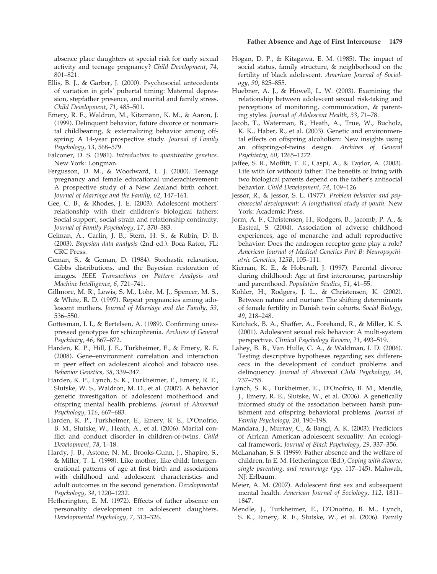absence place daughters at special risk for early sexual activity and teenage pregnancy? Child Development, 74, 801–821.

- Ellis, B. J., & Garber, J. (2000). Psychosocial antecedents of variation in girls' pubertal timing: Maternal depression, stepfather presence, and marital and family stress. Child Development, 71, 485–501.
- Emery, R. E., Waldron, M., Kitzmann, K. M., & Aaron, J. (1999). Delinquent behavior, future divorce or nonmarital childbearing, & externalizing behavior among offspring: A 14-year prospective study. Journal of Family Psychology, 13, 568–579.
- Falconer, D. S. (1981). Introduction to quantitative genetics. New York: Longman.
- Fergusson, D. M., & Woodward, L. J. (2000). Teenage pregnancy and female educational underachievement: A prospective study of a New Zealand birth cohort. Journal of Marriage and the Family, 62, 147–161.
- Gee, C. B., & Rhodes, J. E. (2003). Adolescent mothers' relationship with their children's biological fathers: Social support, social strain and relationship continuity. Journal of Family Psychology, 17, 370–383.
- Gelman, A., Carlin, J. B., Stern, H. S., & Rubin, D. B. (2003). Bayesian data analysis (2nd ed.). Boca Raton, FL: CRC Press.
- Geman, S., & Geman, D. (1984). Stochastic relaxation, Gibbs distributions, and the Bayesian restoration of images. IEEE Transactions on Pattern Analysis and Machine Intelligence, 6, 721–741.
- Gillmore, M. R., Lewis, S. M., Lohr, M. J., Spencer, M. S., & White, R. D. (1997). Repeat pregnancies among adolescent mothers. Journal of Marriage and the Family, 59, 536–550.
- Gottesman, I. I., & Bertelsen, A. (1989). Confirming unexpressed genotypes for schizophrenia. Archives of General Psychiatry, 46, 867–872.
- Harden, K. P., Hill, J. E., Turkheimer, E., & Emery, R. E. (2008). Gene–environment correlation and interaction in peer effect on adolescent alcohol and tobacco use. Behavior Genetics, 38, 339–347.
- Harden, K. P., Lynch, S. K., Turkheimer, E., Emery, R. E., Slutske, W. S., Waldron, M. D., et al. (2007). A behavior genetic investigation of adolescent motherhood and offspring mental health problems. Journal of Abnormal Psychology, 116, 667–683.
- Harden, K. P., Turkheimer, E., Emery, R. E., D'Onofrio, B. M., Slutske, W., Heath, A., et al. (2006). Marital conflict and conduct disorder in children-of-twins. Child Development, 78, 1–18.
- Hardy, J. B., Astone, N. M., Brooks-Gunn, J., Shapiro, S., & Miller, T. L. (1998). Like mother, like child: Intergenerational patterns of age at first birth and associations with childhood and adolescent characteristics and adult outcomes in the second generation. Developmental Psychology, 34, 1220–1232.
- Hetherington, E. M. (1972). Effects of father absence on personality development in adolescent daughters. Developmental Psychology, 7, 313–326.
- Hogan, D. P., & Kitagawa, E. M. (1985). The impact of social status, family structure, & neighborhood on the fertility of black adolescent. American Journal of Sociology, 90, 825–855.
- Huebner, A. J., & Howell, L. W. (2003). Examining the relationship between adolescent sexual risk-taking and perceptions of monitoring, communication, & parenting styles. Journal of Adolescent Health, 33, 71–78.
- Jacob, T., Waterman, B., Heath, A., True, W., Bucholz, K. K., Haber, R., et al. (2003). Genetic and environmental effects on offspring alcoholism: New insights using an offspring-of-twins design. Archives of General Psychiatry, 60, 1265–1272.
- Jaffee, S. R., Moffitt, T. E., Caspi, A., & Taylor, A. (2003). Life with (or without) father: The benefits of living with two biological parents depend on the father's antisocial behavior. Child Development, 74, 109–126.
- Jessor, R., & Jessor, S. L. (1977). Problem behavior and psychosocial development: A longitudinal study of youth. New York: Academic Press.
- Jorm, A. F., Christensen, H., Rodgers, B., Jacomb, P. A., & Easteal, S. (2004). Association of adverse childhood experiences, age of menarche and adult reproductive behavior: Does the androgen receptor gene play a role? American Journal of Medical Genetics Part B: Neuropsychiatric Genetics, 125B, 105–111.
- Kiernan, K. E., & Hobcraft, J. (1997). Parental divorce during childhood: Age at first intercourse, partnership and parenthood. Population Studies, 51, 41–55.
- Kohler, H., Rodgers, J. L., & Christensen, K. (2002). Between nature and nurture: The shifting determinants of female fertility in Danish twin cohorts. Social Biology, 49, 218–248.
- Kotchick, B. A., Shaffer, A., Forehand, R., & Miller, K. S. (2001). Adolescent sexual risk behavior: A multi-system perspective. Clinical Psychology Review, 21, 493–519.
- Lahey, B. B., Van Hulle, C. A., & Waldman, I. D. (2006). Testing descriptive hypotheses regarding sex differencecs in the development of conduct problems and delinquency. Journal of Abnormal Child Psychology, 34, 737–755.
- Lynch, S. K., Turkheimer, E., D'Onofrio, B. M., Mendle, J., Emery, R. E., Slutske, W., et al. (2006). A genetically informed study of the association between harsh punishment and offspring behavioral problems. Journal of Family Psychology, 20, 190–198.
- Mandara, J., Murray, C., & Bangi, A. K. (2003). Predictors of African American adolescent sexuality: An ecological framework. Journal of Black Psychology, 29, 337–356.
- McLanahan, S. S. (1999). Father absence and the welfare of children. In E. M. Hetherington (Ed.), Coping with divorce, single parenting, and remarriage (pp. 117–145). Mahwah, NJ: Erlbaum.
- Meier, A. M. (2007). Adolescent first sex and subsequent mental health. American Journal of Sociology, 112, 1811– 1847.
- Mendle, J., Turkheimer, E., D'Onofrio, B. M., Lynch, S. K., Emery, R. E., Slutske, W., et al. (2006). Family